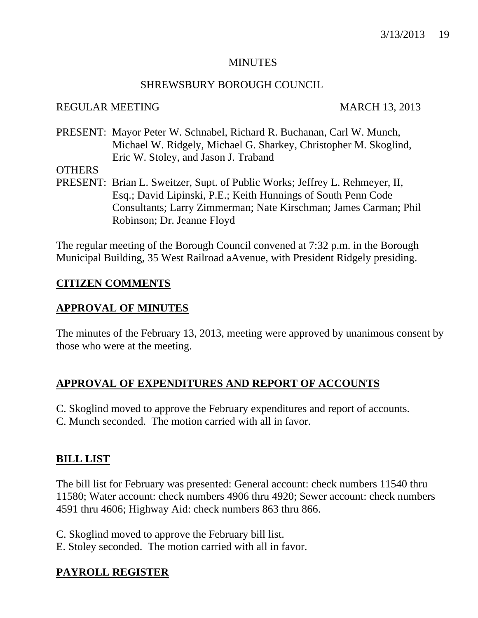#### **MINUTES**

## SHREWSBURY BOROUGH COUNCIL

## REGULAR MEETING MARCH 13, 2013

PRESENT: Mayor Peter W. Schnabel, Richard R. Buchanan, Carl W. Munch, Michael W. Ridgely, Michael G. Sharkey, Christopher M. Skoglind, Eric W. Stoley, and Jason J. Traband

### **OTHERS**

PRESENT: Brian L. Sweitzer, Supt. of Public Works; Jeffrey L. Rehmeyer, II, Esq.; David Lipinski, P.E.; Keith Hunnings of South Penn Code Consultants; Larry Zimmerman; Nate Kirschman; James Carman; Phil Robinson; Dr. Jeanne Floyd

The regular meeting of the Borough Council convened at 7:32 p.m. in the Borough Municipal Building, 35 West Railroad aAvenue, with President Ridgely presiding.

# **CITIZEN COMMENTS**

# **APPROVAL OF MINUTES**

The minutes of the February 13, 2013, meeting were approved by unanimous consent by those who were at the meeting.

# **APPROVAL OF EXPENDITURES AND REPORT OF ACCOUNTS**

- C. Skoglind moved to approve the February expenditures and report of accounts.
- C. Munch seconded. The motion carried with all in favor.

# **BILL LIST**

The bill list for February was presented: General account: check numbers 11540 thru 11580; Water account: check numbers 4906 thru 4920; Sewer account: check numbers 4591 thru 4606; Highway Aid: check numbers 863 thru 866.

C. Skoglind moved to approve the February bill list.

E. Stoley seconded. The motion carried with all in favor.

# **PAYROLL REGISTER**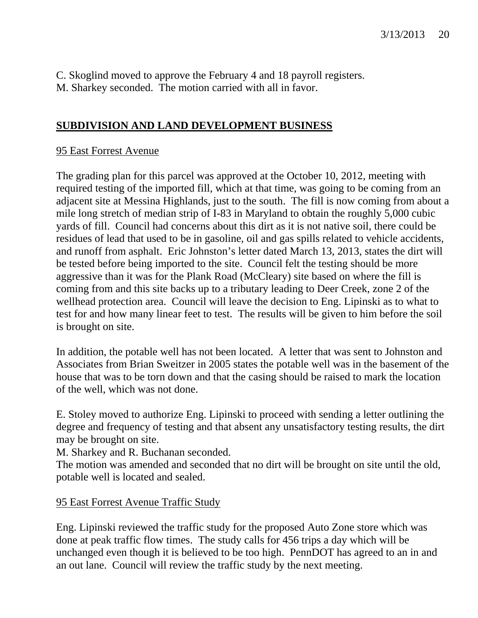C. Skoglind moved to approve the February 4 and 18 payroll registers. M. Sharkey seconded. The motion carried with all in favor.

# **SUBDIVISION AND LAND DEVELOPMENT BUSINESS**

### 95 East Forrest Avenue

The grading plan for this parcel was approved at the October 10, 2012, meeting with required testing of the imported fill, which at that time, was going to be coming from an adjacent site at Messina Highlands, just to the south. The fill is now coming from about a mile long stretch of median strip of I-83 in Maryland to obtain the roughly 5,000 cubic yards of fill. Council had concerns about this dirt as it is not native soil, there could be residues of lead that used to be in gasoline, oil and gas spills related to vehicle accidents, and runoff from asphalt. Eric Johnston's letter dated March 13, 2013, states the dirt will be tested before being imported to the site. Council felt the testing should be more aggressive than it was for the Plank Road (McCleary) site based on where the fill is coming from and this site backs up to a tributary leading to Deer Creek, zone 2 of the wellhead protection area. Council will leave the decision to Eng. Lipinski as to what to test for and how many linear feet to test. The results will be given to him before the soil is brought on site.

In addition, the potable well has not been located. A letter that was sent to Johnston and Associates from Brian Sweitzer in 2005 states the potable well was in the basement of the house that was to be torn down and that the casing should be raised to mark the location of the well, which was not done.

E. Stoley moved to authorize Eng. Lipinski to proceed with sending a letter outlining the degree and frequency of testing and that absent any unsatisfactory testing results, the dirt may be brought on site.

M. Sharkey and R. Buchanan seconded.

The motion was amended and seconded that no dirt will be brought on site until the old, potable well is located and sealed.

#### 95 East Forrest Avenue Traffic Study

Eng. Lipinski reviewed the traffic study for the proposed Auto Zone store which was done at peak traffic flow times. The study calls for 456 trips a day which will be unchanged even though it is believed to be too high. PennDOT has agreed to an in and an out lane. Council will review the traffic study by the next meeting.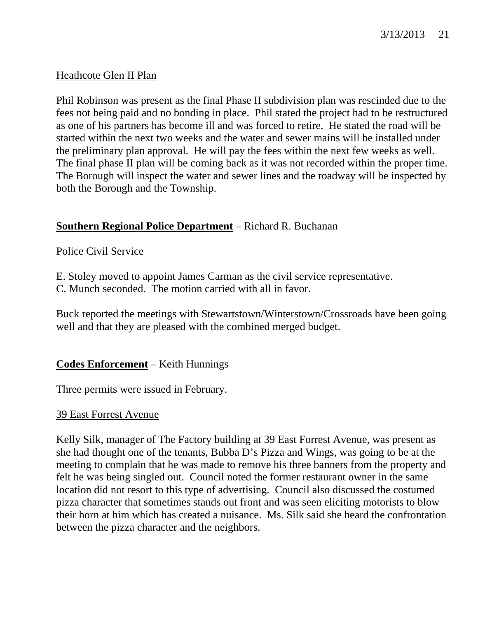## Heathcote Glen II Plan

Phil Robinson was present as the final Phase II subdivision plan was rescinded due to the fees not being paid and no bonding in place. Phil stated the project had to be restructured as one of his partners has become ill and was forced to retire. He stated the road will be started within the next two weeks and the water and sewer mains will be installed under the preliminary plan approval. He will pay the fees within the next few weeks as well. The final phase II plan will be coming back as it was not recorded within the proper time. The Borough will inspect the water and sewer lines and the roadway will be inspected by both the Borough and the Township.

## **Southern Regional Police Department** – Richard R. Buchanan

## Police Civil Service

- E. Stoley moved to appoint James Carman as the civil service representative.
- C. Munch seconded. The motion carried with all in favor.

Buck reported the meetings with Stewartstown/Winterstown/Crossroads have been going well and that they are pleased with the combined merged budget.

## **Codes Enforcement** – Keith Hunnings

Three permits were issued in February.

#### 39 East Forrest Avenue

Kelly Silk, manager of The Factory building at 39 East Forrest Avenue, was present as she had thought one of the tenants, Bubba D's Pizza and Wings, was going to be at the meeting to complain that he was made to remove his three banners from the property and felt he was being singled out. Council noted the former restaurant owner in the same location did not resort to this type of advertising. Council also discussed the costumed pizza character that sometimes stands out front and was seen eliciting motorists to blow their horn at him which has created a nuisance. Ms. Silk said she heard the confrontation between the pizza character and the neighbors.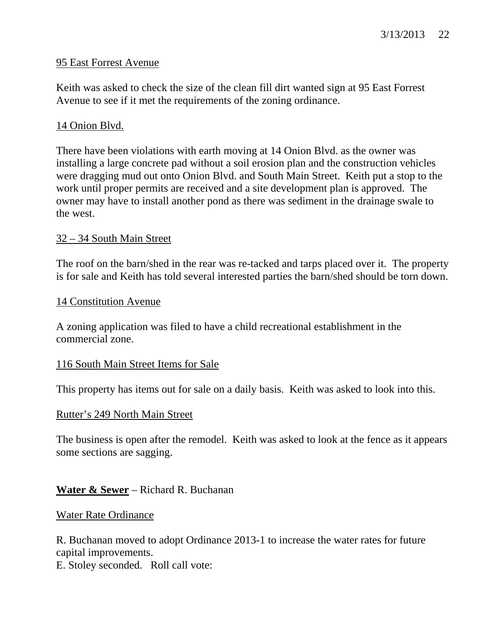# 3/13/2013 22

#### 95 East Forrest Avenue

Keith was asked to check the size of the clean fill dirt wanted sign at 95 East Forrest Avenue to see if it met the requirements of the zoning ordinance.

## 14 Onion Blvd.

There have been violations with earth moving at 14 Onion Blvd. as the owner was installing a large concrete pad without a soil erosion plan and the construction vehicles were dragging mud out onto Onion Blvd. and South Main Street. Keith put a stop to the work until proper permits are received and a site development plan is approved. The owner may have to install another pond as there was sediment in the drainage swale to the west.

#### 32 – 34 South Main Street

The roof on the barn/shed in the rear was re-tacked and tarps placed over it. The property is for sale and Keith has told several interested parties the barn/shed should be torn down.

#### 14 Constitution Avenue

A zoning application was filed to have a child recreational establishment in the commercial zone.

#### 116 South Main Street Items for Sale

This property has items out for sale on a daily basis. Keith was asked to look into this.

#### Rutter's 249 North Main Street

The business is open after the remodel. Keith was asked to look at the fence as it appears some sections are sagging.

#### **Water & Sewer** – Richard R. Buchanan

#### Water Rate Ordinance

R. Buchanan moved to adopt Ordinance 2013-1 to increase the water rates for future capital improvements. E. Stoley seconded. Roll call vote: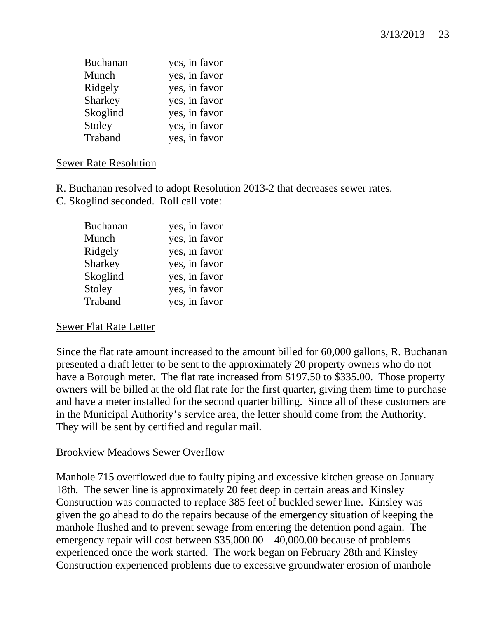| <b>Buchanan</b> | yes, in favor |
|-----------------|---------------|
| Munch           | yes, in favor |
| Ridgely         | yes, in favor |
| Sharkey         | yes, in favor |
| Skoglind        | yes, in favor |
| Stoley          | yes, in favor |
| Traband         | yes, in favor |

# Sewer Rate Resolution

R. Buchanan resolved to adopt Resolution 2013-2 that decreases sewer rates.

C. Skoglind seconded. Roll call vote:

| <b>Buchanan</b> | yes, in favor |
|-----------------|---------------|
| Munch           | yes, in favor |
| Ridgely         | yes, in favor |
| Sharkey         | yes, in favor |
| Skoglind        | yes, in favor |
| Stoley          | yes, in favor |
| Traband         | yes, in favor |

#### Sewer Flat Rate Letter

Since the flat rate amount increased to the amount billed for 60,000 gallons, R. Buchanan presented a draft letter to be sent to the approximately 20 property owners who do not have a Borough meter. The flat rate increased from \$197.50 to \$335.00. Those property owners will be billed at the old flat rate for the first quarter, giving them time to purchase and have a meter installed for the second quarter billing. Since all of these customers are in the Municipal Authority's service area, the letter should come from the Authority. They will be sent by certified and regular mail.

## Brookview Meadows Sewer Overflow

Manhole 715 overflowed due to faulty piping and excessive kitchen grease on January 18th. The sewer line is approximately 20 feet deep in certain areas and Kinsley Construction was contracted to replace 385 feet of buckled sewer line. Kinsley was given the go ahead to do the repairs because of the emergency situation of keeping the manhole flushed and to prevent sewage from entering the detention pond again. The emergency repair will cost between \$35,000.00 – 40,000.00 because of problems experienced once the work started. The work began on February 28th and Kinsley Construction experienced problems due to excessive groundwater erosion of manhole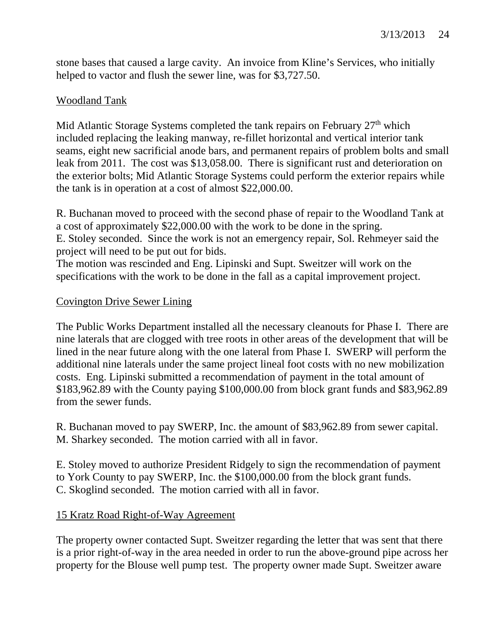stone bases that caused a large cavity. An invoice from Kline's Services, who initially helped to vactor and flush the sewer line, was for \$3,727.50.

## **Woodland Tank**

Mid Atlantic Storage Systems completed the tank repairs on February 27<sup>th</sup> which included replacing the leaking manway, re-fillet horizontal and vertical interior tank seams, eight new sacrificial anode bars, and permanent repairs of problem bolts and small leak from 2011. The cost was \$13,058.00. There is significant rust and deterioration on the exterior bolts; Mid Atlantic Storage Systems could perform the exterior repairs while the tank is in operation at a cost of almost \$22,000.00.

R. Buchanan moved to proceed with the second phase of repair to the Woodland Tank at a cost of approximately \$22,000.00 with the work to be done in the spring. E. Stoley seconded. Since the work is not an emergency repair, Sol. Rehmeyer said the project will need to be put out for bids.

The motion was rescinded and Eng. Lipinski and Supt. Sweitzer will work on the specifications with the work to be done in the fall as a capital improvement project.

## Covington Drive Sewer Lining

The Public Works Department installed all the necessary cleanouts for Phase I. There are nine laterals that are clogged with tree roots in other areas of the development that will be lined in the near future along with the one lateral from Phase I. SWERP will perform the additional nine laterals under the same project lineal foot costs with no new mobilization costs. Eng. Lipinski submitted a recommendation of payment in the total amount of \$183,962.89 with the County paying \$100,000.00 from block grant funds and \$83,962.89 from the sewer funds.

R. Buchanan moved to pay SWERP, Inc. the amount of \$83,962.89 from sewer capital. M. Sharkey seconded. The motion carried with all in favor.

E. Stoley moved to authorize President Ridgely to sign the recommendation of payment to York County to pay SWERP, Inc. the \$100,000.00 from the block grant funds. C. Skoglind seconded. The motion carried with all in favor.

# 15 Kratz Road Right-of-Way Agreement

The property owner contacted Supt. Sweitzer regarding the letter that was sent that there is a prior right-of-way in the area needed in order to run the above-ground pipe across her property for the Blouse well pump test. The property owner made Supt. Sweitzer aware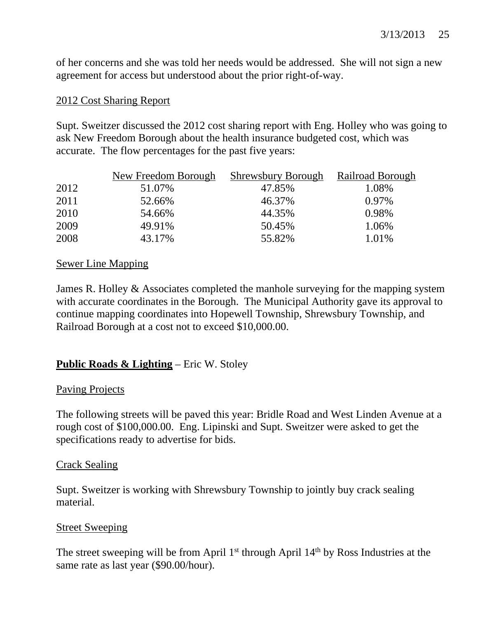of her concerns and she was told her needs would be addressed. She will not sign a new agreement for access but understood about the prior right-of-way.

## 2012 Cost Sharing Report

Supt. Sweitzer discussed the 2012 cost sharing report with Eng. Holley who was going to ask New Freedom Borough about the health insurance budgeted cost, which was accurate. The flow percentages for the past five years:

|      | New Freedom Borough | <b>Shrewsbury Borough</b> | Railroad Borough |
|------|---------------------|---------------------------|------------------|
| 2012 | 51.07%              | 47.85%                    | 1.08%            |
| 2011 | 52.66%              | 46.37%                    | $0.97\%$         |
| 2010 | 54.66%              | 44.35%                    | 0.98%            |
| 2009 | 49.91%              | 50.45%                    | 1.06%            |
| 2008 | 43.17%              | 55.82%                    | 1.01%            |

### Sewer Line Mapping

James R. Holley & Associates completed the manhole surveying for the mapping system with accurate coordinates in the Borough. The Municipal Authority gave its approval to continue mapping coordinates into Hopewell Township, Shrewsbury Township, and Railroad Borough at a cost not to exceed \$10,000.00.

# **Public Roads & Lighting** – Eric W. Stoley

#### Paving Projects

The following streets will be paved this year: Bridle Road and West Linden Avenue at a rough cost of \$100,000.00. Eng. Lipinski and Supt. Sweitzer were asked to get the specifications ready to advertise for bids.

#### Crack Sealing

Supt. Sweitzer is working with Shrewsbury Township to jointly buy crack sealing material.

## Street Sweeping

The street sweeping will be from April 1<sup>st</sup> through April 14<sup>th</sup> by Ross Industries at the same rate as last year (\$90.00/hour).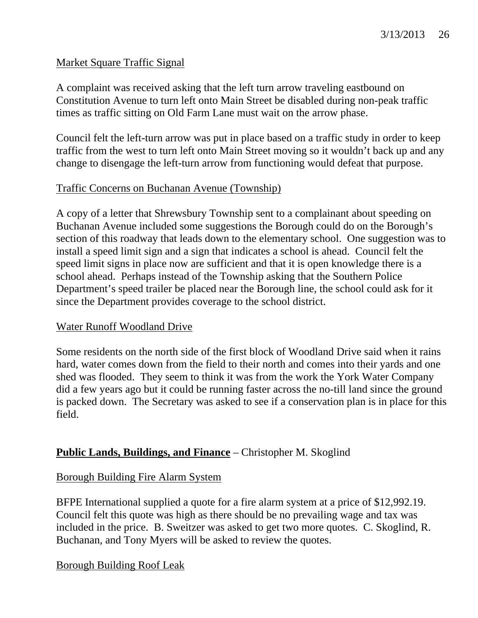## Market Square Traffic Signal

A complaint was received asking that the left turn arrow traveling eastbound on Constitution Avenue to turn left onto Main Street be disabled during non-peak traffic times as traffic sitting on Old Farm Lane must wait on the arrow phase.

Council felt the left-turn arrow was put in place based on a traffic study in order to keep traffic from the west to turn left onto Main Street moving so it wouldn't back up and any change to disengage the left-turn arrow from functioning would defeat that purpose.

# Traffic Concerns on Buchanan Avenue (Township)

A copy of a letter that Shrewsbury Township sent to a complainant about speeding on Buchanan Avenue included some suggestions the Borough could do on the Borough's section of this roadway that leads down to the elementary school. One suggestion was to install a speed limit sign and a sign that indicates a school is ahead. Council felt the speed limit signs in place now are sufficient and that it is open knowledge there is a school ahead. Perhaps instead of the Township asking that the Southern Police Department's speed trailer be placed near the Borough line, the school could ask for it since the Department provides coverage to the school district.

## Water Runoff Woodland Drive

Some residents on the north side of the first block of Woodland Drive said when it rains hard, water comes down from the field to their north and comes into their yards and one shed was flooded. They seem to think it was from the work the York Water Company did a few years ago but it could be running faster across the no-till land since the ground is packed down. The Secretary was asked to see if a conservation plan is in place for this field.

# **Public Lands, Buildings, and Finance** – Christopher M. Skoglind

## Borough Building Fire Alarm System

BFPE International supplied a quote for a fire alarm system at a price of \$12,992.19. Council felt this quote was high as there should be no prevailing wage and tax was included in the price. B. Sweitzer was asked to get two more quotes. C. Skoglind, R. Buchanan, and Tony Myers will be asked to review the quotes.

## Borough Building Roof Leak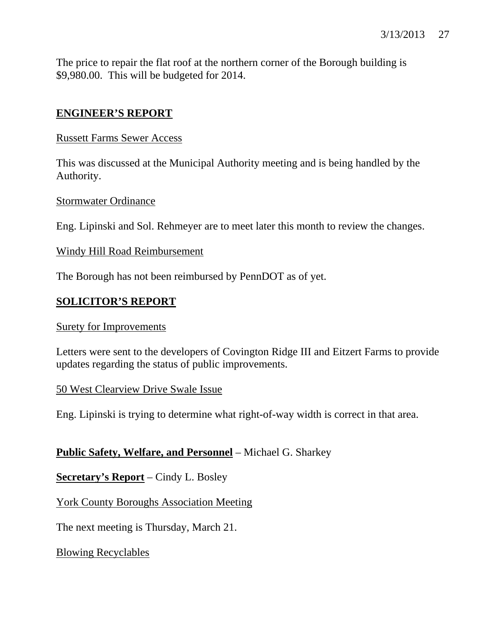The price to repair the flat roof at the northern corner of the Borough building is \$9,980.00. This will be budgeted for 2014.

# **ENGINEER'S REPORT**

### Russett Farms Sewer Access

This was discussed at the Municipal Authority meeting and is being handled by the Authority.

### Stormwater Ordinance

Eng. Lipinski and Sol. Rehmeyer are to meet later this month to review the changes.

### Windy Hill Road Reimbursement

The Borough has not been reimbursed by PennDOT as of yet.

# **SOLICITOR'S REPORT**

#### Surety for Improvements

Letters were sent to the developers of Covington Ridge III and Eitzert Farms to provide updates regarding the status of public improvements.

#### 50 West Clearview Drive Swale Issue

Eng. Lipinski is trying to determine what right-of-way width is correct in that area.

# **Public Safety, Welfare, and Personnel** – Michael G. Sharkey

**Secretary's Report** – Cindy L. Bosley

York County Boroughs Association Meeting

The next meeting is Thursday, March 21.

Blowing Recyclables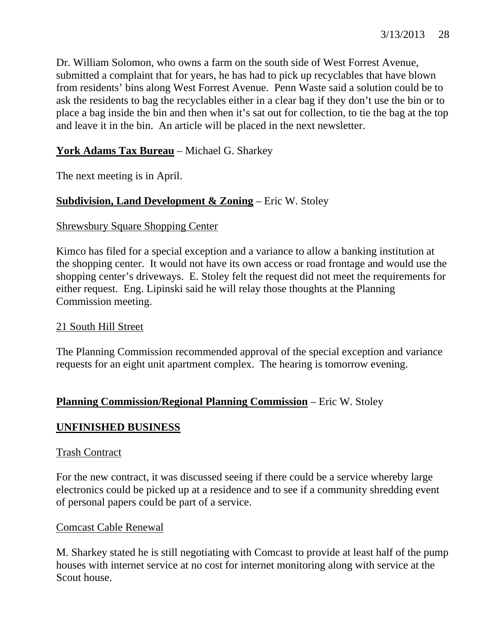Dr. William Solomon, who owns a farm on the south side of West Forrest Avenue, submitted a complaint that for years, he has had to pick up recyclables that have blown from residents' bins along West Forrest Avenue. Penn Waste said a solution could be to ask the residents to bag the recyclables either in a clear bag if they don't use the bin or to place a bag inside the bin and then when it's sat out for collection, to tie the bag at the top and leave it in the bin. An article will be placed in the next newsletter.

# **York Adams Tax Bureau** – Michael G. Sharkey

The next meeting is in April.

# **Subdivision, Land Development & Zoning** – Eric W. Stoley

### Shrewsbury Square Shopping Center

Kimco has filed for a special exception and a variance to allow a banking institution at the shopping center. It would not have its own access or road frontage and would use the shopping center's driveways. E. Stoley felt the request did not meet the requirements for either request. Eng. Lipinski said he will relay those thoughts at the Planning Commission meeting.

## 21 South Hill Street

The Planning Commission recommended approval of the special exception and variance requests for an eight unit apartment complex. The hearing is tomorrow evening.

## **Planning Commission/Regional Planning Commission** – Eric W. Stoley

## **UNFINISHED BUSINESS**

#### Trash Contract

For the new contract, it was discussed seeing if there could be a service whereby large electronics could be picked up at a residence and to see if a community shredding event of personal papers could be part of a service.

#### Comcast Cable Renewal

M. Sharkey stated he is still negotiating with Comcast to provide at least half of the pump houses with internet service at no cost for internet monitoring along with service at the Scout house.